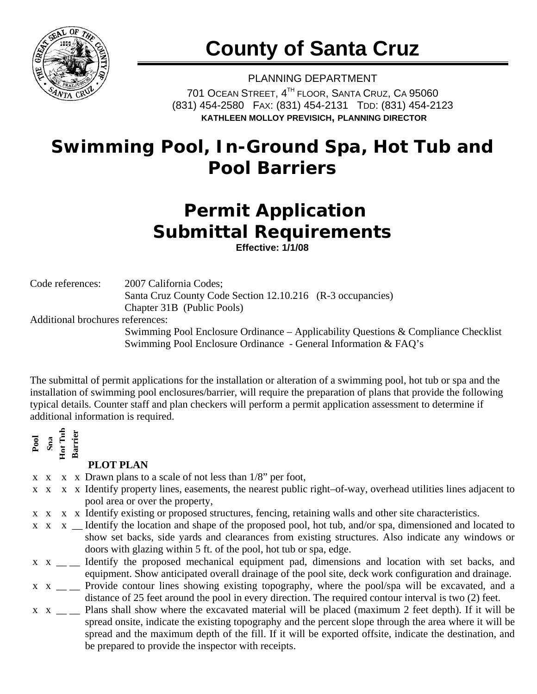

## **County of Santa Cruz**

PLANNING DEPARTMENT 701 OCEAN STREET, 4<sup>TH</sup> FLOOR, SANTA CRUZ, CA 95060 (831) 454-2580 FAX: (831) 454-2131 TDD: (831) 454-2123 **KATHLEEN MOLLOY PREVISICH, PLANNING DIRECTOR**

### **Swimming Pool, In-Ground Spa, Hot Tub and Pool Barriers**

## **Permit Application Submittal Requirements**

**Effective: 1/1/08** 

Code references: 2007 California Codes;

Santa Cruz County Code Section 12.10.216 (R-3 occupancies) Chapter 31B (Public Pools)

Additional brochures references:

Swimming Pool Enclosure Ordinance – Applicability Questions & Compliance Checklist Swimming Pool Enclosure Ordinance - General Information & FAQ's

The submittal of permit applications for the installation or alteration of a swimming pool, hot tub or spa and the installation of swimming pool enclosures/barrier, will require the preparation of plans that provide the following typical details. Counter staff and plan checkers will perform a permit application assessment to determine if additional information is required.

**Pool Spa Hot Tub Barrier** 

### **PLOT PLAN**

- $x \times x$  x Drawn plans to a scale of not less than  $1/8$ " per foot,
- x x x x Identify property lines, easements, the nearest public right–of-way, overhead utilities lines adjacent to pool area or over the property,
- x x x x Identify existing or proposed structures, fencing, retaining walls and other site characteristics.
- $x \times x$  Identify the location and shape of the proposed pool, hot tub, and/or spa, dimensioned and located to show set backs, side yards and clearances from existing structures. Also indicate any windows or doors with glazing within 5 ft. of the pool, hot tub or spa, edge.
- x x \_ \_ Identify the proposed mechanical equipment pad, dimensions and location with set backs, and equipment. Show anticipated overall drainage of the pool site, deck work configuration and drainage.
- $x \times y$  \_\_ Provide contour lines showing existing topography, where the pool/spa will be excavated, and a distance of 25 feet around the pool in every direction. The required contour interval is two (2) feet.
- $x \times y$  \_\_ Plans shall show where the excavated material will be placed (maximum 2 feet depth). If it will be spread onsite, indicate the existing topography and the percent slope through the area where it will be spread and the maximum depth of the fill. If it will be exported offsite, indicate the destination, and be prepared to provide the inspector with receipts.